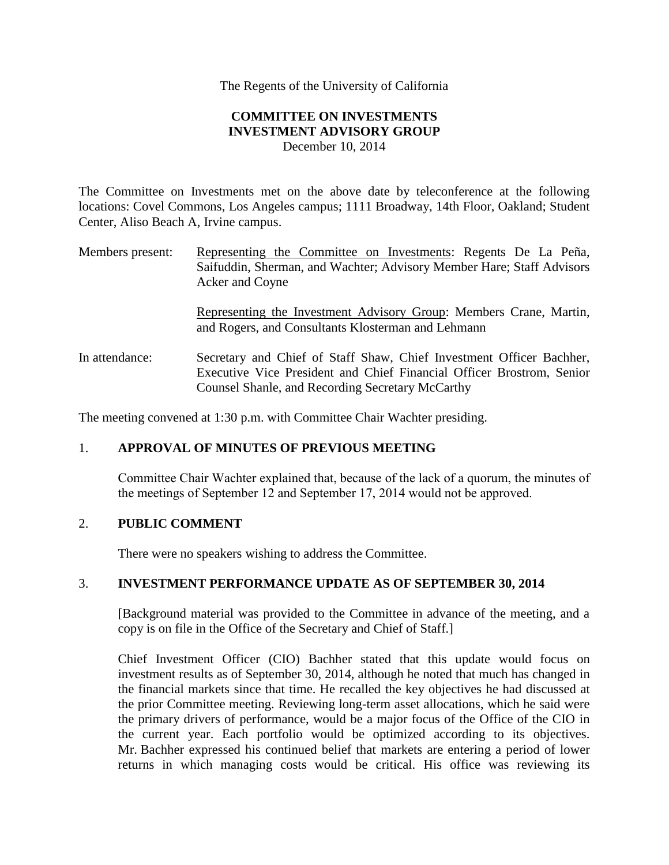The Regents of the University of California

## **COMMITTEE ON INVESTMENTS INVESTMENT ADVISORY GROUP**  December 10, 2014

The Committee on Investments met on the above date by teleconference at the following locations: Covel Commons, Los Angeles campus; 1111 Broadway, 14th Floor, Oakland; Student Center, Aliso Beach A, Irvine campus.

Members present: Representing the Committee on Investments: Regents De La Peña, Saifuddin, Sherman, and Wachter; Advisory Member Hare; Staff Advisors Acker and Coyne

> Representing the Investment Advisory Group: Members Crane, Martin, and Rogers, and Consultants Klosterman and Lehmann

In attendance: Secretary and Chief of Staff Shaw, Chief Investment Officer Bachher, Executive Vice President and Chief Financial Officer Brostrom, Senior Counsel Shanle, and Recording Secretary McCarthy

The meeting convened at 1:30 p.m. with Committee Chair Wachter presiding.

### 1. **APPROVAL OF MINUTES OF PREVIOUS MEETING**

Committee Chair Wachter explained that, because of the lack of a quorum, the minutes of the meetings of September 12 and September 17, 2014 would not be approved.

### 2. **PUBLIC COMMENT**

There were no speakers wishing to address the Committee.

### 3. **INVESTMENT PERFORMANCE UPDATE AS OF SEPTEMBER 30, 2014**

[Background material was provided to the Committee in advance of the meeting, and a copy is on file in the Office of the Secretary and Chief of Staff.]

Chief Investment Officer (CIO) Bachher stated that this update would focus on investment results as of September 30, 2014, although he noted that much has changed in the financial markets since that time. He recalled the key objectives he had discussed at the prior Committee meeting. Reviewing long-term asset allocations, which he said were the primary drivers of performance, would be a major focus of the Office of the CIO in the current year. Each portfolio would be optimized according to its objectives. Mr. Bachher expressed his continued belief that markets are entering a period of lower returns in which managing costs would be critical. His office was reviewing its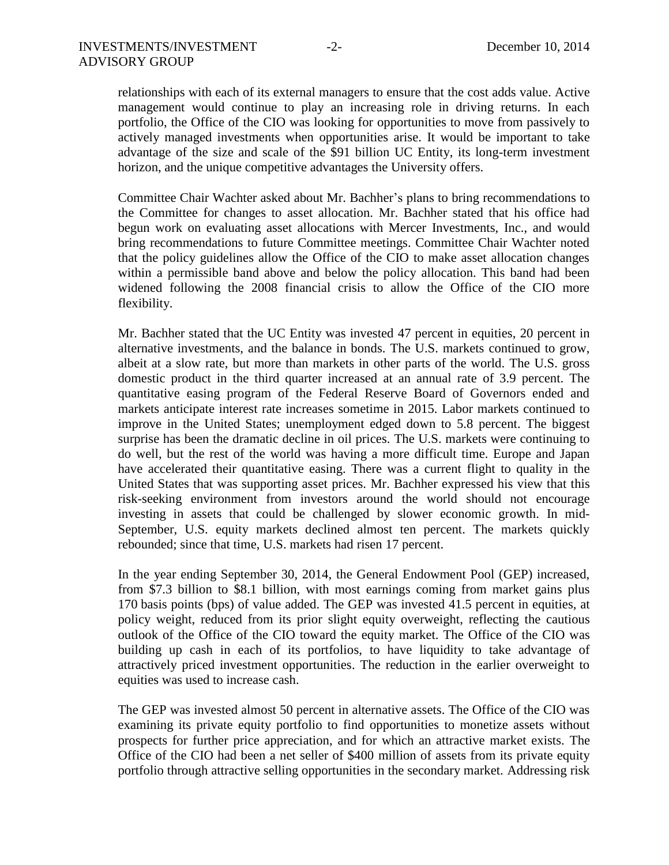relationships with each of its external managers to ensure that the cost adds value. Active management would continue to play an increasing role in driving returns. In each portfolio, the Office of the CIO was looking for opportunities to move from passively to actively managed investments when opportunities arise. It would be important to take advantage of the size and scale of the \$91 billion UC Entity, its long-term investment horizon, and the unique competitive advantages the University offers.

Committee Chair Wachter asked about Mr. Bachher's plans to bring recommendations to the Committee for changes to asset allocation. Mr. Bachher stated that his office had begun work on evaluating asset allocations with Mercer Investments, Inc., and would bring recommendations to future Committee meetings. Committee Chair Wachter noted that the policy guidelines allow the Office of the CIO to make asset allocation changes within a permissible band above and below the policy allocation. This band had been widened following the 2008 financial crisis to allow the Office of the CIO more flexibility.

Mr. Bachher stated that the UC Entity was invested 47 percent in equities, 20 percent in alternative investments, and the balance in bonds. The U.S. markets continued to grow, albeit at a slow rate, but more than markets in other parts of the world. The U.S. gross domestic product in the third quarter increased at an annual rate of 3.9 percent. The quantitative easing program of the Federal Reserve Board of Governors ended and markets anticipate interest rate increases sometime in 2015. Labor markets continued to improve in the United States; unemployment edged down to 5.8 percent. The biggest surprise has been the dramatic decline in oil prices. The U.S. markets were continuing to do well, but the rest of the world was having a more difficult time. Europe and Japan have accelerated their quantitative easing. There was a current flight to quality in the United States that was supporting asset prices. Mr. Bachher expressed his view that this risk-seeking environment from investors around the world should not encourage investing in assets that could be challenged by slower economic growth. In mid-September, U.S. equity markets declined almost ten percent. The markets quickly rebounded; since that time, U.S. markets had risen 17 percent.

In the year ending September 30, 2014, the General Endowment Pool (GEP) increased, from \$7.3 billion to \$8.1 billion, with most earnings coming from market gains plus 170 basis points (bps) of value added. The GEP was invested 41.5 percent in equities, at policy weight, reduced from its prior slight equity overweight, reflecting the cautious outlook of the Office of the CIO toward the equity market. The Office of the CIO was building up cash in each of its portfolios, to have liquidity to take advantage of attractively priced investment opportunities. The reduction in the earlier overweight to equities was used to increase cash.

The GEP was invested almost 50 percent in alternative assets. The Office of the CIO was examining its private equity portfolio to find opportunities to monetize assets without prospects for further price appreciation, and for which an attractive market exists. The Office of the CIO had been a net seller of \$400 million of assets from its private equity portfolio through attractive selling opportunities in the secondary market. Addressing risk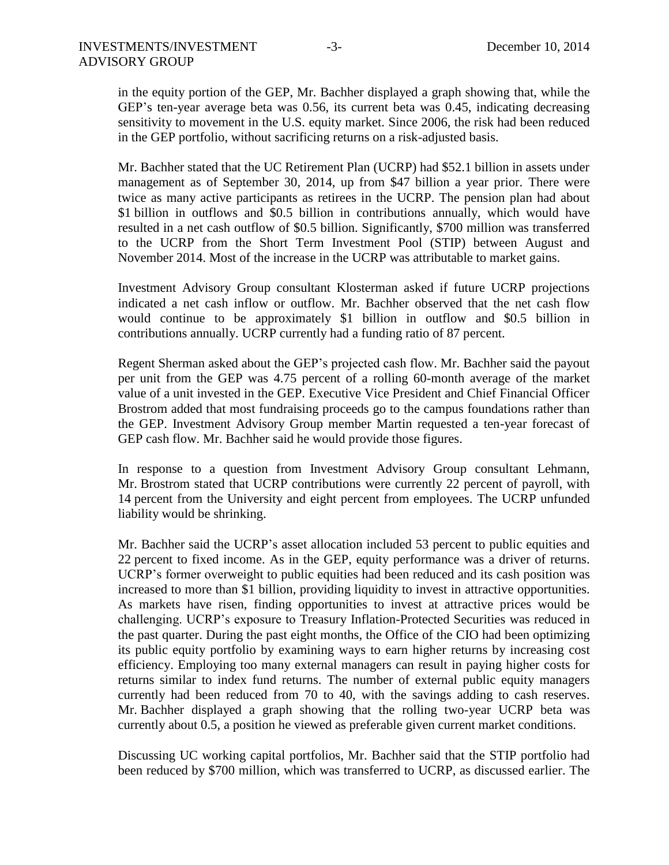in the equity portion of the GEP, Mr. Bachher displayed a graph showing that, while the GEP's ten-year average beta was 0.56, its current beta was 0.45, indicating decreasing sensitivity to movement in the U.S. equity market. Since 2006, the risk had been reduced in the GEP portfolio, without sacrificing returns on a risk-adjusted basis.

Mr. Bachher stated that the UC Retirement Plan (UCRP) had \$52.1 billion in assets under management as of September 30, 2014, up from \$47 billion a year prior. There were twice as many active participants as retirees in the UCRP. The pension plan had about \$1 billion in outflows and \$0.5 billion in contributions annually, which would have resulted in a net cash outflow of \$0.5 billion. Significantly, \$700 million was transferred to the UCRP from the Short Term Investment Pool (STIP) between August and November 2014. Most of the increase in the UCRP was attributable to market gains.

Investment Advisory Group consultant Klosterman asked if future UCRP projections indicated a net cash inflow or outflow. Mr. Bachher observed that the net cash flow would continue to be approximately \$1 billion in outflow and \$0.5 billion in contributions annually. UCRP currently had a funding ratio of 87 percent.

Regent Sherman asked about the GEP's projected cash flow. Mr. Bachher said the payout per unit from the GEP was 4.75 percent of a rolling 60-month average of the market value of a unit invested in the GEP. Executive Vice President and Chief Financial Officer Brostrom added that most fundraising proceeds go to the campus foundations rather than the GEP. Investment Advisory Group member Martin requested a ten-year forecast of GEP cash flow. Mr. Bachher said he would provide those figures.

In response to a question from Investment Advisory Group consultant Lehmann, Mr. Brostrom stated that UCRP contributions were currently 22 percent of payroll, with 14 percent from the University and eight percent from employees. The UCRP unfunded liability would be shrinking.

Mr. Bachher said the UCRP's asset allocation included 53 percent to public equities and 22 percent to fixed income. As in the GEP, equity performance was a driver of returns. UCRP's former overweight to public equities had been reduced and its cash position was increased to more than \$1 billion, providing liquidity to invest in attractive opportunities. As markets have risen, finding opportunities to invest at attractive prices would be challenging. UCRP's exposure to Treasury Inflation-Protected Securities was reduced in the past quarter. During the past eight months, the Office of the CIO had been optimizing its public equity portfolio by examining ways to earn higher returns by increasing cost efficiency. Employing too many external managers can result in paying higher costs for returns similar to index fund returns. The number of external public equity managers currently had been reduced from 70 to 40, with the savings adding to cash reserves. Mr. Bachher displayed a graph showing that the rolling two-year UCRP beta was currently about 0.5, a position he viewed as preferable given current market conditions.

Discussing UC working capital portfolios, Mr. Bachher said that the STIP portfolio had been reduced by \$700 million, which was transferred to UCRP, as discussed earlier. The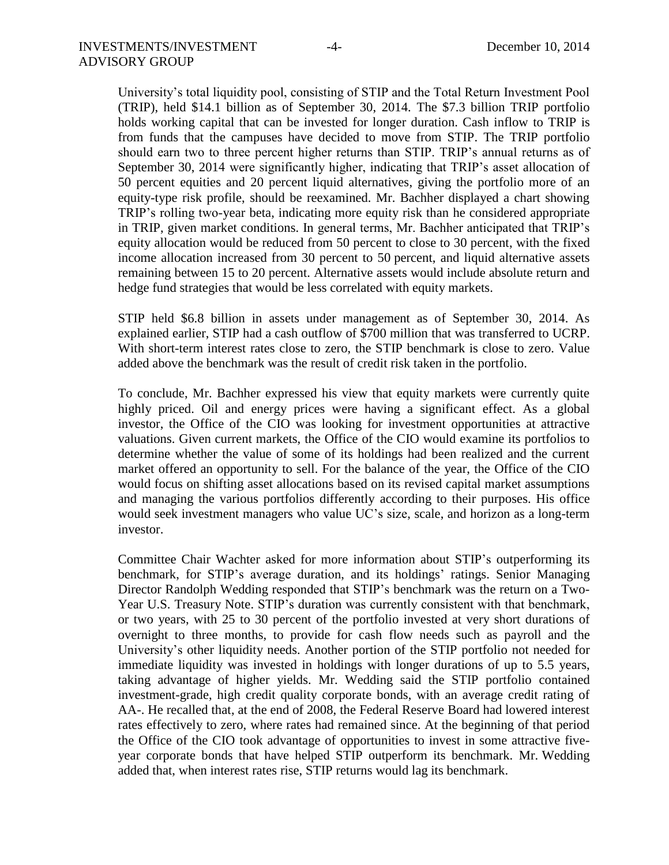University's total liquidity pool, consisting of STIP and the Total Return Investment Pool (TRIP), held \$14.1 billion as of September 30, 2014. The \$7.3 billion TRIP portfolio holds working capital that can be invested for longer duration. Cash inflow to TRIP is from funds that the campuses have decided to move from STIP. The TRIP portfolio should earn two to three percent higher returns than STIP. TRIP's annual returns as of September 30, 2014 were significantly higher, indicating that TRIP's asset allocation of 50 percent equities and 20 percent liquid alternatives, giving the portfolio more of an equity-type risk profile, should be reexamined. Mr. Bachher displayed a chart showing TRIP's rolling two-year beta, indicating more equity risk than he considered appropriate in TRIP, given market conditions. In general terms, Mr. Bachher anticipated that TRIP's equity allocation would be reduced from 50 percent to close to 30 percent, with the fixed income allocation increased from 30 percent to 50 percent, and liquid alternative assets remaining between 15 to 20 percent. Alternative assets would include absolute return and hedge fund strategies that would be less correlated with equity markets.

STIP held \$6.8 billion in assets under management as of September 30, 2014. As explained earlier, STIP had a cash outflow of \$700 million that was transferred to UCRP. With short-term interest rates close to zero, the STIP benchmark is close to zero. Value added above the benchmark was the result of credit risk taken in the portfolio.

To conclude, Mr. Bachher expressed his view that equity markets were currently quite highly priced. Oil and energy prices were having a significant effect. As a global investor, the Office of the CIO was looking for investment opportunities at attractive valuations. Given current markets, the Office of the CIO would examine its portfolios to determine whether the value of some of its holdings had been realized and the current market offered an opportunity to sell. For the balance of the year, the Office of the CIO would focus on shifting asset allocations based on its revised capital market assumptions and managing the various portfolios differently according to their purposes. His office would seek investment managers who value UC's size, scale, and horizon as a long-term investor.

Committee Chair Wachter asked for more information about STIP's outperforming its benchmark, for STIP's average duration, and its holdings' ratings. Senior Managing Director Randolph Wedding responded that STIP's benchmark was the return on a Two-Year U.S. Treasury Note. STIP's duration was currently consistent with that benchmark, or two years, with 25 to 30 percent of the portfolio invested at very short durations of overnight to three months, to provide for cash flow needs such as payroll and the University's other liquidity needs. Another portion of the STIP portfolio not needed for immediate liquidity was invested in holdings with longer durations of up to 5.5 years, taking advantage of higher yields. Mr. Wedding said the STIP portfolio contained investment-grade, high credit quality corporate bonds, with an average credit rating of AA-. He recalled that, at the end of 2008, the Federal Reserve Board had lowered interest rates effectively to zero, where rates had remained since. At the beginning of that period the Office of the CIO took advantage of opportunities to invest in some attractive fiveyear corporate bonds that have helped STIP outperform its benchmark. Mr. Wedding added that, when interest rates rise, STIP returns would lag its benchmark.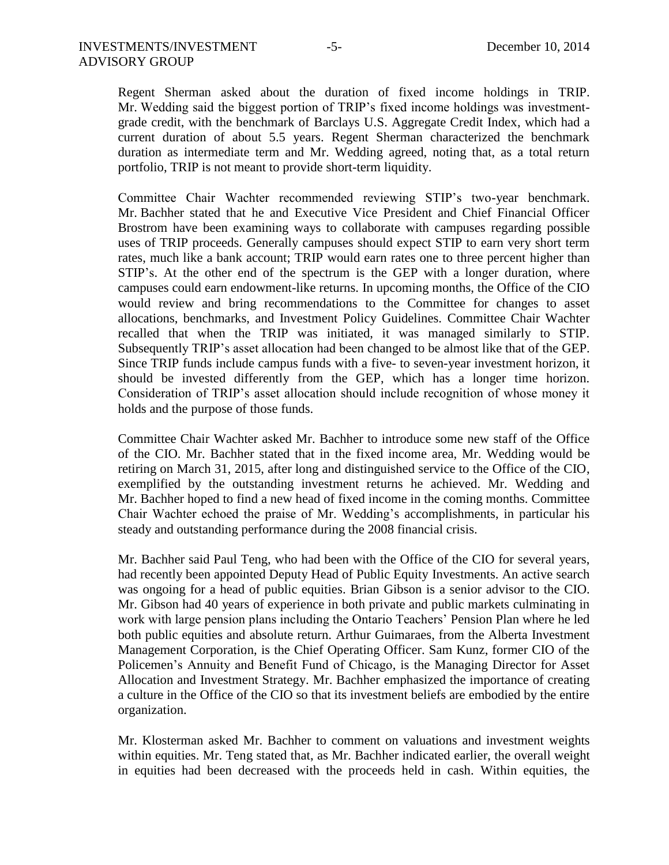Regent Sherman asked about the duration of fixed income holdings in TRIP. Mr. Wedding said the biggest portion of TRIP's fixed income holdings was investmentgrade credit, with the benchmark of Barclays U.S. Aggregate Credit Index, which had a current duration of about 5.5 years. Regent Sherman characterized the benchmark duration as intermediate term and Mr. Wedding agreed, noting that, as a total return portfolio, TRIP is not meant to provide short-term liquidity.

Committee Chair Wachter recommended reviewing STIP's two-year benchmark. Mr. Bachher stated that he and Executive Vice President and Chief Financial Officer Brostrom have been examining ways to collaborate with campuses regarding possible uses of TRIP proceeds. Generally campuses should expect STIP to earn very short term rates, much like a bank account; TRIP would earn rates one to three percent higher than STIP's. At the other end of the spectrum is the GEP with a longer duration, where campuses could earn endowment-like returns. In upcoming months, the Office of the CIO would review and bring recommendations to the Committee for changes to asset allocations, benchmarks, and Investment Policy Guidelines. Committee Chair Wachter recalled that when the TRIP was initiated, it was managed similarly to STIP. Subsequently TRIP's asset allocation had been changed to be almost like that of the GEP. Since TRIP funds include campus funds with a five- to seven-year investment horizon, it should be invested differently from the GEP, which has a longer time horizon. Consideration of TRIP's asset allocation should include recognition of whose money it holds and the purpose of those funds.

Committee Chair Wachter asked Mr. Bachher to introduce some new staff of the Office of the CIO. Mr. Bachher stated that in the fixed income area, Mr. Wedding would be retiring on March 31, 2015, after long and distinguished service to the Office of the CIO, exemplified by the outstanding investment returns he achieved. Mr. Wedding and Mr. Bachher hoped to find a new head of fixed income in the coming months. Committee Chair Wachter echoed the praise of Mr. Wedding's accomplishments, in particular his steady and outstanding performance during the 2008 financial crisis.

Mr. Bachher said Paul Teng, who had been with the Office of the CIO for several years, had recently been appointed Deputy Head of Public Equity Investments. An active search was ongoing for a head of public equities. Brian Gibson is a senior advisor to the CIO. Mr. Gibson had 40 years of experience in both private and public markets culminating in work with large pension plans including the Ontario Teachers' Pension Plan where he led both public equities and absolute return. Arthur Guimaraes, from the Alberta Investment Management Corporation, is the Chief Operating Officer. Sam Kunz, former CIO of the Policemen's Annuity and Benefit Fund of Chicago, is the Managing Director for Asset Allocation and Investment Strategy. Mr. Bachher emphasized the importance of creating a culture in the Office of the CIO so that its investment beliefs are embodied by the entire organization.

Mr. Klosterman asked Mr. Bachher to comment on valuations and investment weights within equities. Mr. Teng stated that, as Mr. Bachher indicated earlier, the overall weight in equities had been decreased with the proceeds held in cash. Within equities, the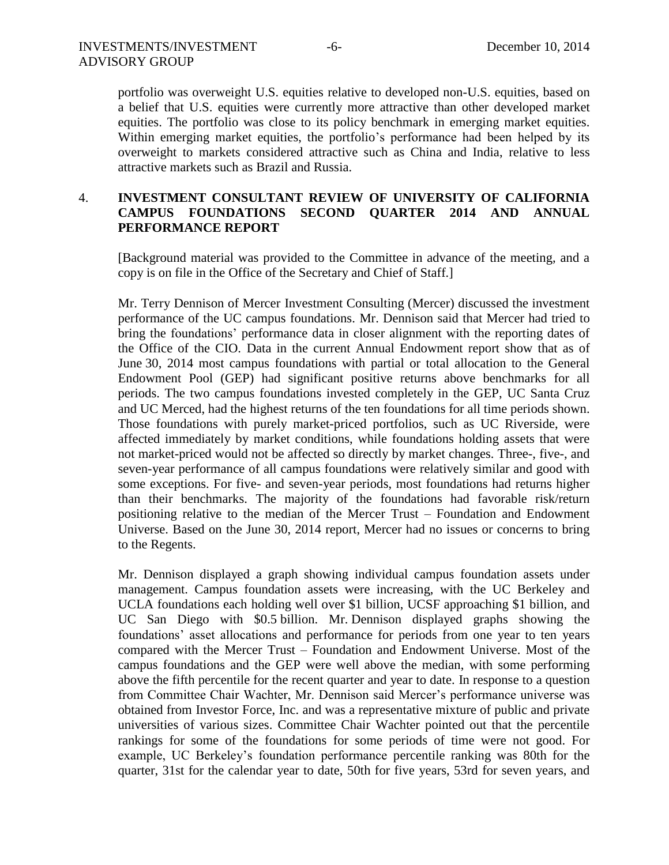portfolio was overweight U.S. equities relative to developed non-U.S. equities, based on a belief that U.S. equities were currently more attractive than other developed market equities. The portfolio was close to its policy benchmark in emerging market equities. Within emerging market equities, the portfolio's performance had been helped by its overweight to markets considered attractive such as China and India, relative to less attractive markets such as Brazil and Russia.

# 4. **INVESTMENT CONSULTANT REVIEW OF UNIVERSITY OF CALIFORNIA CAMPUS FOUNDATIONS SECOND QUARTER 2014 AND ANNUAL PERFORMANCE REPORT**

[Background material was provided to the Committee in advance of the meeting, and a copy is on file in the Office of the Secretary and Chief of Staff.]

Mr. Terry Dennison of Mercer Investment Consulting (Mercer) discussed the investment performance of the UC campus foundations. Mr. Dennison said that Mercer had tried to bring the foundations' performance data in closer alignment with the reporting dates of the Office of the CIO. Data in the current Annual Endowment report show that as of June 30, 2014 most campus foundations with partial or total allocation to the General Endowment Pool (GEP) had significant positive returns above benchmarks for all periods. The two campus foundations invested completely in the GEP, UC Santa Cruz and UC Merced, had the highest returns of the ten foundations for all time periods shown. Those foundations with purely market-priced portfolios, such as UC Riverside, were affected immediately by market conditions, while foundations holding assets that were not market-priced would not be affected so directly by market changes. Three-, five-, and seven-year performance of all campus foundations were relatively similar and good with some exceptions. For five- and seven-year periods, most foundations had returns higher than their benchmarks. The majority of the foundations had favorable risk/return positioning relative to the median of the Mercer Trust – Foundation and Endowment Universe. Based on the June 30, 2014 report, Mercer had no issues or concerns to bring to the Regents.

Mr. Dennison displayed a graph showing individual campus foundation assets under management. Campus foundation assets were increasing, with the UC Berkeley and UCLA foundations each holding well over \$1 billion, UCSF approaching \$1 billion, and UC San Diego with \$0.5 billion. Mr. Dennison displayed graphs showing the foundations' asset allocations and performance for periods from one year to ten years compared with the Mercer Trust – Foundation and Endowment Universe. Most of the campus foundations and the GEP were well above the median, with some performing above the fifth percentile for the recent quarter and year to date. In response to a question from Committee Chair Wachter, Mr. Dennison said Mercer's performance universe was obtained from Investor Force, Inc. and was a representative mixture of public and private universities of various sizes. Committee Chair Wachter pointed out that the percentile rankings for some of the foundations for some periods of time were not good. For example, UC Berkeley's foundation performance percentile ranking was 80th for the quarter, 31st for the calendar year to date, 50th for five years, 53rd for seven years, and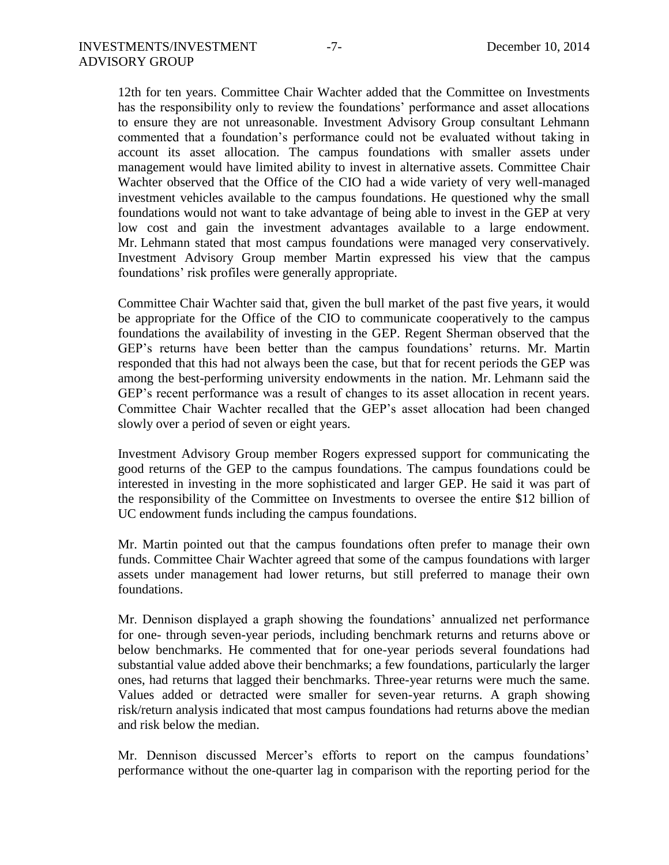12th for ten years. Committee Chair Wachter added that the Committee on Investments has the responsibility only to review the foundations' performance and asset allocations to ensure they are not unreasonable. Investment Advisory Group consultant Lehmann commented that a foundation's performance could not be evaluated without taking in account its asset allocation. The campus foundations with smaller assets under management would have limited ability to invest in alternative assets. Committee Chair Wachter observed that the Office of the CIO had a wide variety of very well-managed investment vehicles available to the campus foundations. He questioned why the small foundations would not want to take advantage of being able to invest in the GEP at very low cost and gain the investment advantages available to a large endowment. Mr. Lehmann stated that most campus foundations were managed very conservatively. Investment Advisory Group member Martin expressed his view that the campus foundations' risk profiles were generally appropriate.

Committee Chair Wachter said that, given the bull market of the past five years, it would be appropriate for the Office of the CIO to communicate cooperatively to the campus foundations the availability of investing in the GEP. Regent Sherman observed that the GEP's returns have been better than the campus foundations' returns. Mr. Martin responded that this had not always been the case, but that for recent periods the GEP was among the best-performing university endowments in the nation. Mr. Lehmann said the GEP's recent performance was a result of changes to its asset allocation in recent years. Committee Chair Wachter recalled that the GEP's asset allocation had been changed slowly over a period of seven or eight years.

Investment Advisory Group member Rogers expressed support for communicating the good returns of the GEP to the campus foundations. The campus foundations could be interested in investing in the more sophisticated and larger GEP. He said it was part of the responsibility of the Committee on Investments to oversee the entire \$12 billion of UC endowment funds including the campus foundations.

Mr. Martin pointed out that the campus foundations often prefer to manage their own funds. Committee Chair Wachter agreed that some of the campus foundations with larger assets under management had lower returns, but still preferred to manage their own foundations.

Mr. Dennison displayed a graph showing the foundations' annualized net performance for one- through seven-year periods, including benchmark returns and returns above or below benchmarks. He commented that for one-year periods several foundations had substantial value added above their benchmarks; a few foundations, particularly the larger ones, had returns that lagged their benchmarks. Three-year returns were much the same. Values added or detracted were smaller for seven-year returns. A graph showing risk/return analysis indicated that most campus foundations had returns above the median and risk below the median.

Mr. Dennison discussed Mercer's efforts to report on the campus foundations' performance without the one-quarter lag in comparison with the reporting period for the